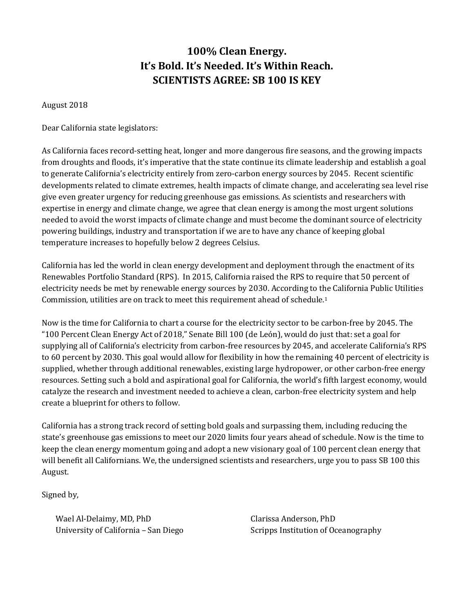## **100% Clean Energy. It's Bold. It's Needed. It's Within Reach. SCIENTISTS AGREE: SB 100 IS KEY**

## August 2018

## Dear California state legislators:

As California faces record-setting heat, longer and more dangerous fire seasons, and the growing impacts from droughts and floods, it's imperative that the state continue its climate leadership and establish a goal to generate California's electricity entirely from zero-carbon energy sources by 2045. Recent scientific developments related to climate extremes, health impacts of climate change, and accelerating sea level rise give even greater urgency for reducing greenhouse gas emissions. As scientists and researchers with expertise in energy and climate change, we agree that clean energy is among the most urgent solutions needed to avoid the worst impacts of climate change and must become the dominant source of electricity powering buildings, industry and transportation if we are to have any chance of keeping global temperature increases to hopefully below 2 degrees Celsius.

California has led the world in clean energy development and deployment through the enactment of its Renewables Portfolio Standard (RPS). In 2015, California raised the RPS to require that 50 percent of electricity needs be met by renewable energy sources by 2030. According to the California Public Utilities Commission, utilities are on track to meet this requirement ahead of schedule.1

Now is the time for California to chart a course for the electricity sector to be carbon-free by 2045. The "100 Percent Clean Energy Act of 2018," Senate Bill 100 (de León), would do just that: set a goal for supplying all of California's electricity from carbon-free resources by 2045, and accelerate California's RPS to 60 percent by 2030. This goal would allow for flexibility in how the remaining 40 percent of electricity is supplied, whether through additional renewables, existing large hydropower, or other carbon-free energy resources. Setting such a bold and aspirational goal for California, the world's fifth largest economy, would catalyze the research and investment needed to achieve a clean, carbon-free electricity system and help create a blueprint for others to follow.

California has a strong track record of setting bold goals and surpassing them, including reducing the state's greenhouse gas emissions to meet our 2020 limits four years ahead of schedule. Now is the time to keep the clean energy momentum going and adopt a new visionary goal of 100 percent clean energy that will benefit all Californians. We, the undersigned scientists and researchers, urge you to pass SB 100 this August.

Signed by,

Wael Al-Delaimy, MD, PhD University of California – San Diego Clarissa Anderson, PhD Scripps Institution of Oceanography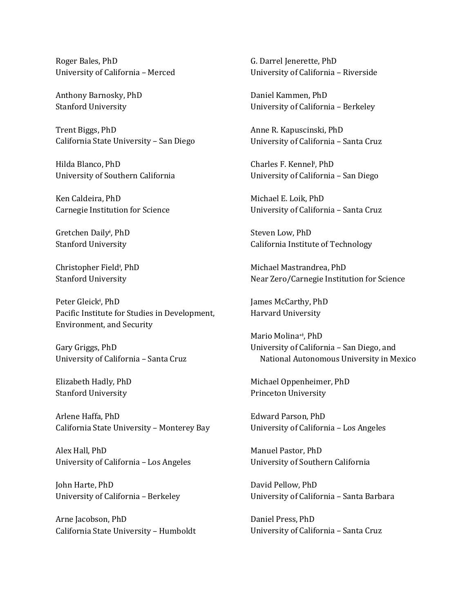Roger Bales, PhD University of California – Merced

Anthony Barnosky, PhD Stanford University

Trent Biggs, PhD California State University – San Diego

Hilda Blanco, PhD University of Southern California

Ken Caldeira, PhD Carnegie Institution for Science

Gretchen Daily<sup>ǂ</sup> , PhD Stanford University

Christopher Field<sup>‡</sup>, PhD Stanford University

Peter Gleick<sup>‡</sup>, PhD Pacific Institute for Studies in Development, Environment, and Security

Gary Griggs, PhD University of California – Santa Cruz

Elizabeth Hadly, PhD Stanford University

Arlene Haffa, PhD California State University – Monterey Bay

Alex Hall, PhD University of California – Los Angeles

John Harte, PhD University of California – Berkeley

Arne Jacobson, PhD California State University – Humboldt G. Darrel Jenerette, PhD University of California – Riverside

Daniel Kammen, PhD University of California – Berkeley

Anne R. Kapuscinski, PhD University of California – Santa Cruz

Charles F. Kennel<sup>‡</sup>, PhD University of California – San Diego

Michael E. Loik, PhD University of California – Santa Cruz

Steven Low, PhD California Institute of Technology

Michael Mastrandrea, PhD Near Zero/Carnegie Institution for Science

James McCarthy, PhD Harvard University

Mario Molina<sup>+‡</sup>, PhD University of California – San Diego, and National Autonomous University in Mexico

Michael Oppenheimer, PhD Princeton University

Edward Parson, PhD University of California – Los Angeles

Manuel Pastor, PhD University of Southern California

David Pellow, PhD University of California – Santa Barbara

Daniel Press, PhD University of California – Santa Cruz